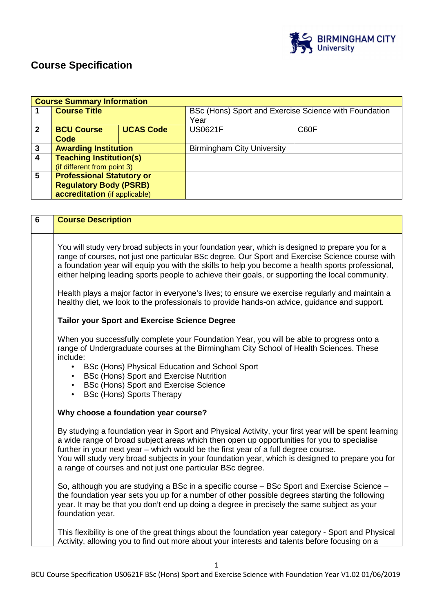

# **Course Specification**

|                | <b>Course Summary Information</b> |                  |                                                               |      |
|----------------|-----------------------------------|------------------|---------------------------------------------------------------|------|
|                | <b>Course Title</b>               |                  | BSc (Hons) Sport and Exercise Science with Foundation<br>Year |      |
|                |                                   |                  |                                                               |      |
| $\overline{2}$ | <b>BCU Course</b>                 | <b>UCAS Code</b> | <b>US0621F</b>                                                | C60F |
|                | Code                              |                  |                                                               |      |
| $\mathbf{3}$   | <b>Awarding Institution</b>       |                  | <b>Birmingham City University</b>                             |      |
| 4              | <b>Teaching Institution(s)</b>    |                  |                                                               |      |
|                | (if different from point 3)       |                  |                                                               |      |
| 5              | <b>Professional Statutory or</b>  |                  |                                                               |      |
|                | <b>Regulatory Body (PSRB)</b>     |                  |                                                               |      |
|                | accreditation (if applicable)     |                  |                                                               |      |

| $\overline{6}$ | <b>Course Description</b>                                                                                                                                                                                                                                                                                                                                                                                                                                  |
|----------------|------------------------------------------------------------------------------------------------------------------------------------------------------------------------------------------------------------------------------------------------------------------------------------------------------------------------------------------------------------------------------------------------------------------------------------------------------------|
|                | You will study very broad subjects in your foundation year, which is designed to prepare you for a<br>range of courses, not just one particular BSc degree. Our Sport and Exercise Science course with<br>a foundation year will equip you with the skills to help you become a health sports professional,<br>either helping leading sports people to achieve their goals, or supporting the local community.                                             |
|                | Health plays a major factor in everyone's lives; to ensure we exercise regularly and maintain a<br>healthy diet, we look to the professionals to provide hands-on advice, guidance and support.                                                                                                                                                                                                                                                            |
|                | <b>Tailor your Sport and Exercise Science Degree</b>                                                                                                                                                                                                                                                                                                                                                                                                       |
|                | When you successfully complete your Foundation Year, you will be able to progress onto a<br>range of Undergraduate courses at the Birmingham City School of Health Sciences. These<br>include:<br>BSc (Hons) Physical Education and School Sport<br>$\bullet$<br>BSc (Hons) Sport and Exercise Nutrition<br>BSc (Hons) Sport and Exercise Science<br>$\bullet$<br><b>BSc (Hons) Sports Therapy</b><br>$\bullet$                                            |
|                | Why choose a foundation year course?                                                                                                                                                                                                                                                                                                                                                                                                                       |
|                | By studying a foundation year in Sport and Physical Activity, your first year will be spent learning<br>a wide range of broad subject areas which then open up opportunities for you to specialise<br>further in your next year - which would be the first year of a full degree course.<br>You will study very broad subjects in your foundation year, which is designed to prepare you for<br>a range of courses and not just one particular BSc degree. |
|                | So, although you are studying a BSc in a specific course - BSc Sport and Exercise Science -<br>the foundation year sets you up for a number of other possible degrees starting the following<br>year. It may be that you don't end up doing a degree in precisely the same subject as your<br>foundation year.                                                                                                                                             |
|                | This flexibility is one of the great things about the foundation year category - Sport and Physical<br>Activity, allowing you to find out more about your interests and talents before focusing on a                                                                                                                                                                                                                                                       |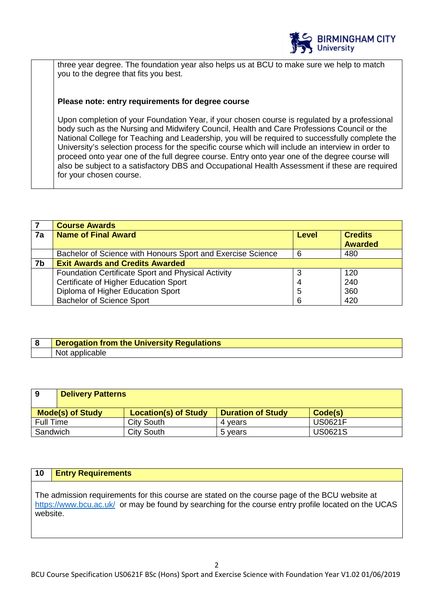

three year degree. The foundation year also helps us at BCU to make sure we help to match you to the degree that fits you best.

## **Please note: entry requirements for degree course**

Upon completion of your Foundation Year, if your chosen course is regulated by a professional body such as the Nursing and Midwifery Council, Health and Care Professions Council or the National College for Teaching and Leadership, you will be required to successfully complete the University's selection process for the specific course which will include an interview in order to proceed onto year one of the full degree course. Entry onto year one of the degree course will also be subject to a satisfactory DBS and Occupational Health Assessment if these are required for your chosen course.

|    | <b>Course Awards</b>                                        |              |                                  |
|----|-------------------------------------------------------------|--------------|----------------------------------|
| 7a | <b>Name of Final Award</b>                                  | <b>Level</b> | <b>Credits</b><br><b>Awarded</b> |
|    |                                                             |              |                                  |
|    | Bachelor of Science with Honours Sport and Exercise Science | 6            | 480                              |
| 7b | <b>Exit Awards and Credits Awarded</b>                      |              |                                  |
|    | Foundation Certificate Sport and Physical Activity          |              | 120                              |
|    | Certificate of Higher Education Sport                       | 4            | 240                              |
|    | Diploma of Higher Education Sport                           | 5            | 360                              |
|    | <b>Bachelor of Science Sport</b>                            | 6            | 420                              |

| Derogation from the University Regulations |
|--------------------------------------------|
| NΟι τ<br>apr<br>онсаріє                    |

| 9         | <b>Delivery Patterns</b> |                             |                          |                |
|-----------|--------------------------|-----------------------------|--------------------------|----------------|
|           | <b>Mode(s) of Study</b>  | <b>Location(s) of Study</b> | <b>Duration of Study</b> | Code(s)        |
| Full Time |                          | <b>City South</b>           | 4 vears                  | <b>US0621F</b> |
| Sandwich  |                          | <b>City South</b>           | 5 years                  | <b>US0621S</b> |

## **10 Entry Requirements**

The admission requirements for this course are stated on the course page of the BCU website at https://www.bcu.ac.uk/ or may be found by searching for the course entry profile located on the UCAS website.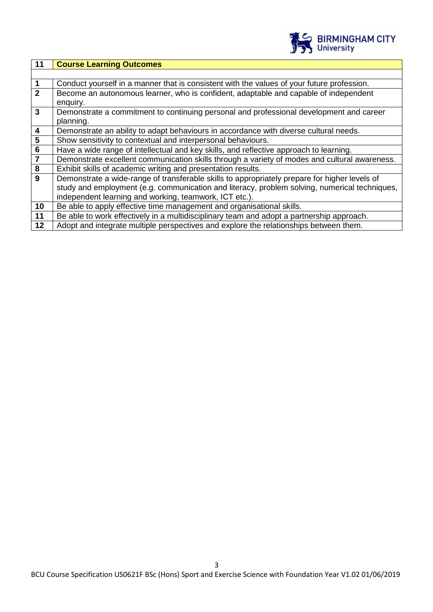

| 11                                 | <b>Course Learning Outcomes</b>                                                               |
|------------------------------------|-----------------------------------------------------------------------------------------------|
|                                    |                                                                                               |
| $\mathbf{1}$                       | Conduct yourself in a manner that is consistent with the values of your future profession.    |
| $\overline{2}$                     | Become an autonomous learner, who is confident, adaptable and capable of independent          |
|                                    | enquiry.                                                                                      |
| $\overline{\mathbf{3}}$            | Demonstrate a commitment to continuing personal and professional development and career       |
|                                    | planning.                                                                                     |
| $\overline{\mathbf{4}}$            | Demonstrate an ability to adapt behaviours in accordance with diverse cultural needs.         |
| $\overline{\overline{\mathbf{5}}}$ | Show sensitivity to contextual and interpersonal behaviours.                                  |
| $\overline{6}$                     | Have a wide range of intellectual and key skills, and reflective approach to learning.        |
| $\overline{7}$                     | Demonstrate excellent communication skills through a variety of modes and cultural awareness. |
| 8                                  | Exhibit skills of academic writing and presentation results.                                  |
| 9                                  | Demonstrate a wide-range of transferable skills to appropriately prepare for higher levels of |
|                                    | study and employment (e.g. communication and literacy, problem solving, numerical techniques, |
|                                    | independent learning and working, teamwork, ICT etc.).                                        |
| 10                                 | Be able to apply effective time management and organisational skills.                         |
| 11                                 | Be able to work effectively in a multidisciplinary team and adopt a partnership approach.     |
| 12                                 | Adopt and integrate multiple perspectives and explore the relationships between them.         |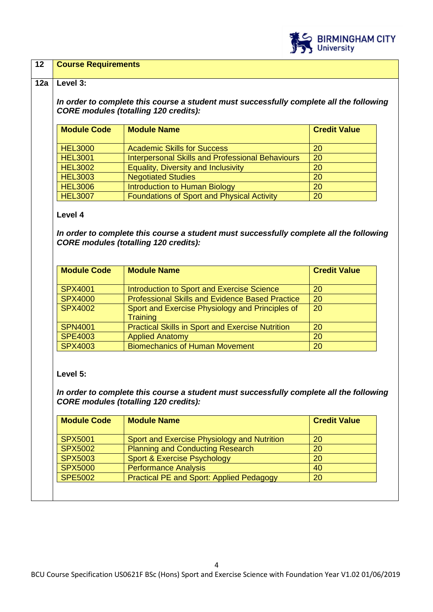

## **12 Course Requirements**

#### **12a Level 3:**

**In order to complete this course a student must successfully complete all the following CORE modules (totalling 120 credits):**

| <b>Module Code</b> | <b>Module Name</b>                                      | <b>Credit Value</b> |
|--------------------|---------------------------------------------------------|---------------------|
| <b>HEL3000</b>     | <b>Academic Skills for Success</b>                      | 20                  |
| <b>HEL3001</b>     | <b>Interpersonal Skills and Professional Behaviours</b> | <b>20</b>           |
| <b>HEL3002</b>     | <b>Equality, Diversity and Inclusivity</b>              | 20                  |
| <b>HEL3003</b>     | <b>Negotiated Studies</b>                               | 20                  |
| <b>HEL3006</b>     | Introduction to Human Biology                           | 20                  |
| <b>HEL3007</b>     | <b>Foundations of Sport and Physical Activity</b>       | 20                  |

#### **Level 4**

**In order to complete this course a student must successfully complete all the following CORE modules (totalling 120 credits):** 

| <b>Module Code</b> | <b>Module Name</b>                                                 | <b>Credit Value</b> |
|--------------------|--------------------------------------------------------------------|---------------------|
| <b>SPX4001</b>     | Introduction to Sport and Exercise Science                         | 20                  |
| <b>SPX4000</b>     | <b>Professional Skills and Evidence Based Practice</b>             | 20                  |
| <b>SPX4002</b>     | Sport and Exercise Physiology and Principles of<br><b>Training</b> | 20                  |
| <b>SPN4001</b>     | <b>Practical Skills in Sport and Exercise Nutrition</b>            | 20                  |
| SPE4003            | <b>Applied Anatomy</b>                                             | 20                  |
| <b>SPX4003</b>     | <b>Biomechanics of Human Movement</b>                              | 20                  |

#### **Level 5:**

**In order to complete this course a student must successfully complete all the following CORE modules (totalling 120 credits):** 

| <b>Module Code</b> | <b>Module Name</b>                              | <b>Credit Value</b> |
|--------------------|-------------------------------------------------|---------------------|
| <b>SPX5001</b>     | Sport and Exercise Physiology and Nutrition     | 20                  |
| <b>SPX5002</b>     | <b>Planning and Conducting Research</b>         | 20                  |
| <b>SPX5003</b>     | Sport & Exercise Psychology                     | <b>20</b>           |
| <b>SPX5000</b>     | <b>Performance Analysis</b>                     | 40                  |
| <b>SPE5002</b>     | <b>Practical PE and Sport: Applied Pedagogy</b> | 20                  |
|                    |                                                 |                     |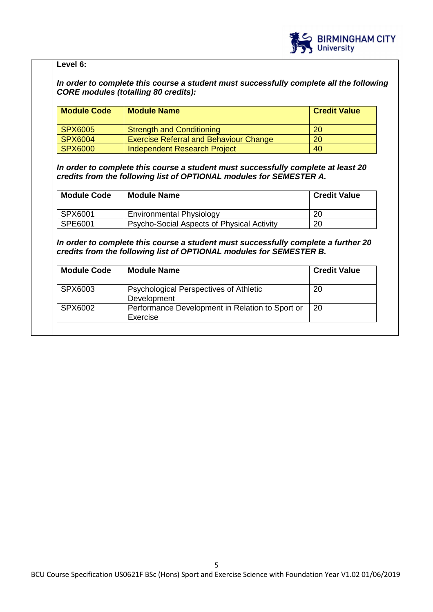

## **Level 6:**

**In order to complete this course a student must successfully complete all the following CORE modules (totalling 80 credits):** 

| <b>Module Code</b> | <b>Module Name</b>                            | <b>Credit Value</b> |
|--------------------|-----------------------------------------------|---------------------|
| SPX6005            | <b>Strength and Conditioning</b>              | 20                  |
| SPX6004            | <b>Exercise Referral and Behaviour Change</b> | 20                  |
| SPX6000            | Independent Research Project                  | 40                  |

**In order to complete this course a student must successfully complete at least 20 credits from the following list of OPTIONAL modules for SEMESTER A.** 

| <b>Module Code</b> | <b>Module Name</b>                         | <b>Credit Value</b> |
|--------------------|--------------------------------------------|---------------------|
| SPX6001            | <b>Environmental Physiology</b>            | 20                  |
| SPE6001            | Psycho-Social Aspects of Physical Activity | 20                  |

**In order to complete this course a student must successfully complete a further 20 credits from the following list of OPTIONAL modules for SEMESTER B.** 

| <b>Module Code</b> | <b>Module Name</b>                                           | <b>Credit Value</b> |
|--------------------|--------------------------------------------------------------|---------------------|
| SPX6003            | <b>Psychological Perspectives of Athletic</b><br>Development | 20                  |
| SPX6002            | Performance Development in Relation to Sport or<br>Exercise  | 20                  |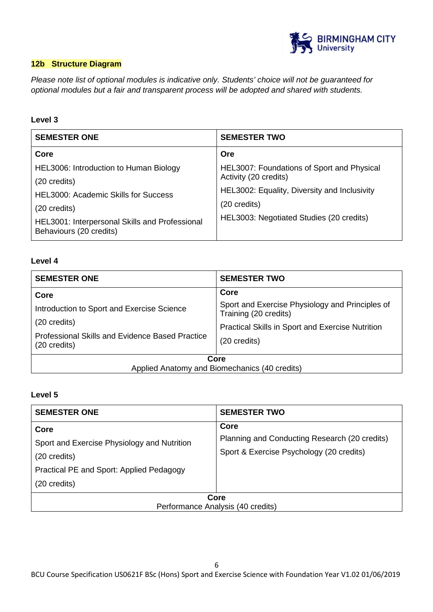

## **12b Structure Diagram**

Please note list of optional modules is indicative only. Students' choice will not be guaranteed for optional modules but a fair and transparent process will be adopted and shared with students.

# **Level 3**

| <b>SEMESTER ONE</b>                                                       | <b>SEMESTER TWO</b>                          |
|---------------------------------------------------------------------------|----------------------------------------------|
| Core                                                                      | Ore                                          |
| HEL3006: Introduction to Human Biology                                    | HEL3007: Foundations of Sport and Physical   |
| (20 credits)                                                              | Activity (20 credits)                        |
| <b>HEL3000: Academic Skills for Success</b>                               | HEL3002: Equality, Diversity and Inclusivity |
| (20 credits)                                                              | (20 credits)                                 |
| HEL3001: Interpersonal Skills and Professional<br>Behaviours (20 credits) | HEL3003: Negotiated Studies (20 credits)     |

## **Level 4**

| <b>SEMESTER ONE</b>                                                    | <b>SEMESTER TWO</b>                                                      |
|------------------------------------------------------------------------|--------------------------------------------------------------------------|
| Core                                                                   | Core                                                                     |
| Introduction to Sport and Exercise Science                             | Sport and Exercise Physiology and Principles of<br>Training (20 credits) |
| (20 credits)                                                           | Practical Skills in Sport and Exercise Nutrition                         |
| <b>Professional Skills and Evidence Based Practice</b><br>(20 credits) | (20 credits)                                                             |
| Core                                                                   |                                                                          |
| Applied Anatomy and Biomechanics (40 credits)                          |                                                                          |

# **Level 5**

| <b>SEMESTER ONE</b>                                      | <b>SEMESTER TWO</b>                                   |
|----------------------------------------------------------|-------------------------------------------------------|
| Core<br>Sport and Exercise Physiology and Nutrition      | Core<br>Planning and Conducting Research (20 credits) |
| (20 credits)<br>Practical PE and Sport: Applied Pedagogy | Sport & Exercise Psychology (20 credits)              |
| (20 credits)                                             |                                                       |
| Core<br>Performance Analysis (40 credits)                |                                                       |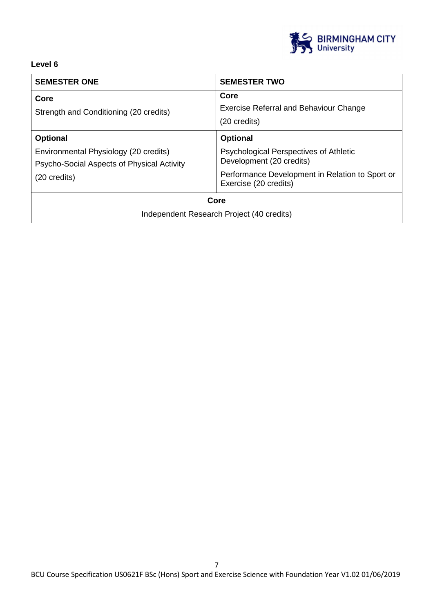

# **Level 6**

| <b>SEMESTER ONE</b>                                                                 | <b>SEMESTER TWO</b>                                                       |
|-------------------------------------------------------------------------------------|---------------------------------------------------------------------------|
| Core<br>Strength and Conditioning (20 credits)                                      | Core<br>Exercise Referral and Behaviour Change<br>(20 credits)            |
| <b>Optional</b>                                                                     | <b>Optional</b>                                                           |
| Environmental Physiology (20 credits)<br>Psycho-Social Aspects of Physical Activity | <b>Psychological Perspectives of Athletic</b><br>Development (20 credits) |
| $(20 \text{ credits})$                                                              | Performance Development in Relation to Sport or<br>Exercise (20 credits)  |
| Core                                                                                |                                                                           |
| Independent Research Project (40 credits)                                           |                                                                           |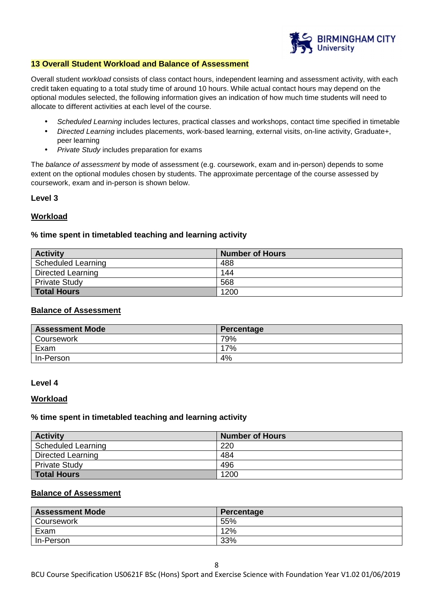

#### **13 Overall Student Workload and Balance of Assessment**

Overall student workload consists of class contact hours, independent learning and assessment activity, with each credit taken equating to a total study time of around 10 hours. While actual contact hours may depend on the optional modules selected, the following information gives an indication of how much time students will need to allocate to different activities at each level of the course.

- Scheduled Learning includes lectures, practical classes and workshops, contact time specified in timetable
- Directed Learning includes placements, work-based learning, external visits, on-line activity, Graduate+, peer learning
- Private Study includes preparation for exams

The balance of assessment by mode of assessment (e.g. coursework, exam and in-person) depends to some extent on the optional modules chosen by students. The approximate percentage of the course assessed by coursework, exam and in-person is shown below.

#### **Level 3**

## **Workload**

#### **% time spent in timetabled teaching and learning activity**

| <b>Activity</b>           | <b>Number of Hours</b> |
|---------------------------|------------------------|
| <b>Scheduled Learning</b> | 488                    |
| <b>Directed Learning</b>  | 144                    |
| <b>Private Study</b>      | 568                    |
| <b>Total Hours</b>        | 1200                   |

## **Balance of Assessment**

| <b>Assessment Mode</b> | Percentage |
|------------------------|------------|
| Coursework             | 79%        |
| Exam                   | 17%        |
| In-Person              | 4%         |

#### **Level 4**

#### **Workload**

#### **% time spent in timetabled teaching and learning activity**

| <b>Activity</b>      | <b>Number of Hours</b> |
|----------------------|------------------------|
| Scheduled Learning   | 220                    |
| Directed Learning    | 484                    |
| <b>Private Study</b> | 496                    |
| <b>Total Hours</b>   | 1200                   |

#### **Balance of Assessment**

| <b>Assessment Mode</b> | Percentage |
|------------------------|------------|
| <b>Coursework</b>      | 55%        |
| Exam                   | 12%        |
| In-Person              | 33%        |